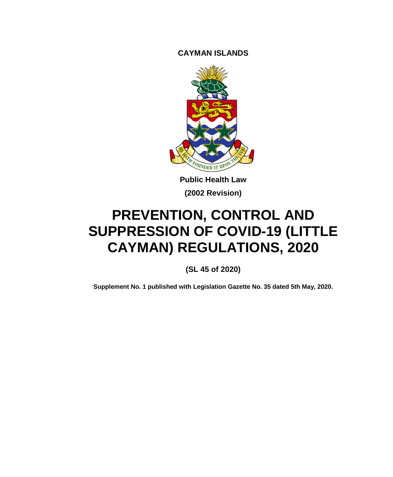**CAYMAN ISLANDS**



**Public Health Law (2002 Revision)**

# **PREVENTION, CONTROL AND SUPPRESSION OF COVID-19 (LITTLE CAYMAN) REGULATIONS, 2020**

**(SL 45 of 2020)**

**Supplement No. 1 published with Legislation Gazette No. 35 dated 5th May, 2020.**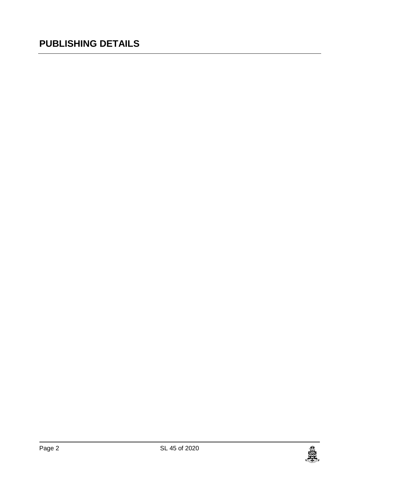## **PUBLISHING DETAILS**

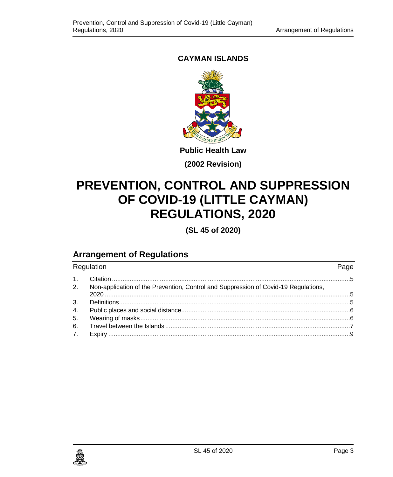### **CAYMAN ISLANDS**



**Public Health Law**

**(2002 Revision)**

## **PREVENTION, CONTROL AND SUPPRESSION OF COVID-19 (LITTLE CAYMAN) REGULATIONS, 2020**

**(SL 45 of 2020)**

## **Arrangement of Regulations**

| Regulation     |                                                                                     |  |
|----------------|-------------------------------------------------------------------------------------|--|
| $\mathbf{1}$ . |                                                                                     |  |
| 2.             | Non-application of the Prevention, Control and Suppression of Covid-19 Regulations, |  |
| 3.             |                                                                                     |  |
| 4.             |                                                                                     |  |
| 5.             |                                                                                     |  |
| 6.             |                                                                                     |  |
| 7.             |                                                                                     |  |

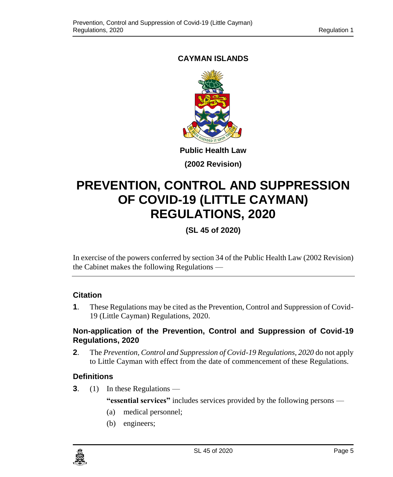### <span id="page-4-0"></span>**CAYMAN ISLANDS**



**Public Health Law**

**(2002 Revision)**

## **PREVENTION, CONTROL AND SUPPRESSION OF COVID-19 (LITTLE CAYMAN) REGULATIONS, 2020**

## **(SL 45 of 2020)**

In exercise of the powers conferred by section 34 of the Public Health Law (2002 Revision) the Cabinet makes the following Regulations —

#### **1. Citation**

**1**. These Regulations may be cited as the Prevention, Control and Suppression of Covid-19 (Little Cayman) Regulations, 2020.

#### <span id="page-4-1"></span>**2. Non-application of the Prevention, Control and Suppression of Covid-19 Regulations, 2020**

**2**. The *Prevention, Control and Suppression of Covid-19 Regulations, 2020* do not apply to Little Cayman with effect from the date of commencement of these Regulations.

#### <span id="page-4-2"></span>**3. Definitions**

**3**. (1) In these Regulations —

**"essential services"** includes services provided by the following persons —

- (a) medical personnel;
- (b) engineers;

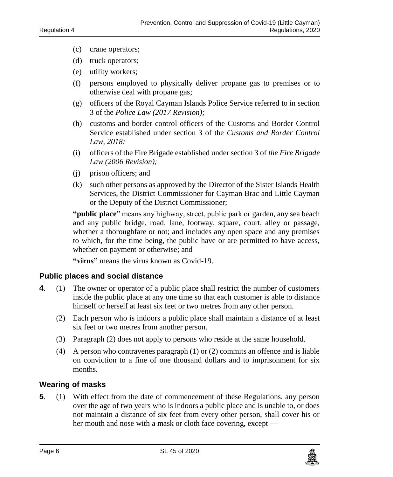- (c) crane operators;
- (d) truck operators;
- (e) utility workers;
- (f) persons employed to physically deliver propane gas to premises or to otherwise deal with propane gas;
- (g) officers of the Royal Cayman Islands Police Service referred to in section 3 of the *Police Law (2017 Revision);*
- (h) customs and border control officers of the Customs and Border Control Service established under section 3 of the *Customs and Border Control Law, 2018;*
- (i) officers of the Fire Brigade established under section 3 of *the Fire Brigade Law (2006 Revision);*
- (j) prison officers; and
- (k) such other persons as approved by the Director of the Sister Islands Health Services, the District Commissioner for Cayman Brac and Little Cayman or the Deputy of the District Commissioner;

**"public place**" means any highway, street, public park or garden, any sea beach and any public bridge, road, lane, footway, square, court, alley or passage, whether a thoroughfare or not; and includes any open space and any premises to which, for the time being, the public have or are permitted to have access, whether on payment or otherwise; and

**"virus"** means the virus known as Covid-19.

#### <span id="page-5-0"></span>**4. Public places and social distance**

- **4**. (1) The owner or operator of a public place shall restrict the number of customers inside the public place at any one time so that each customer is able to distance himself or herself at least six feet or two metres from any other person.
	- (2) Each person who is indoors a public place shall maintain a distance of at least six feet or two metres from another person.
	- (3) Paragraph (2) does not apply to persons who reside at the same household.
	- (4) A person who contravenes paragraph (1) or (2) commits an offence and is liable on conviction to a fine of one thousand dollars and to imprisonment for six months.

#### <span id="page-5-1"></span>**5. Wearing of masks**

**5**. (1) With effect from the date of commencement of these Regulations, any person over the age of two years who is indoors a public place and is unable to, or does not maintain a distance of six feet from every other person, shall cover his or her mouth and nose with a mask or cloth face covering, except —

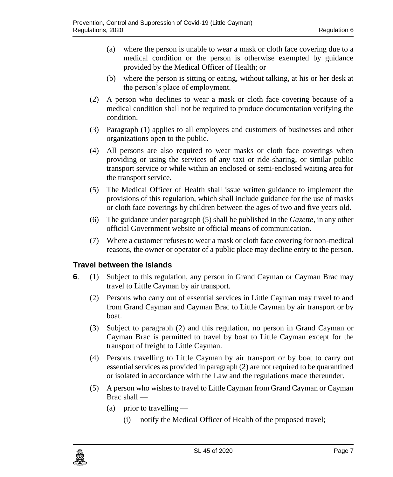- (a) where the person is unable to wear a mask or cloth face covering due to a medical condition or the person is otherwise exempted by guidance provided by the Medical Officer of Health; or
- (b) where the person is sitting or eating, without talking, at his or her desk at the person's place of employment.
- (2) A person who declines to wear a mask or cloth face covering because of a medical condition shall not be required to produce documentation verifying the condition.
- (3) Paragraph (1) applies to all employees and customers of businesses and other organizations open to the public.
- (4) All persons are also required to wear masks or cloth face coverings when providing or using the services of any taxi or ride-sharing, or similar public transport service or while within an enclosed or semi-enclosed waiting area for the transport service.
- (5) The Medical Officer of Health shall issue written guidance to implement the provisions of this regulation, which shall include guidance for the use of masks or cloth face coverings by children between the ages of two and five years old.
- (6) The guidance under paragraph (5) shall be published in the *Gazette*, in any other official Government website or official means of communication.
- (7) Where a customer refuses to wear a mask or cloth face covering for non-medical reasons, the owner or operator of a public place may decline entry to the person.

#### <span id="page-6-0"></span>**6. Travel between the Islands**

- **6.** (1) Subject to this regulation, any person in Grand Cayman or Cayman Brac may travel to Little Cayman by air transport.
	- (2) Persons who carry out of essential services in Little Cayman may travel to and from Grand Cayman and Cayman Brac to Little Cayman by air transport or by boat.
	- (3) Subject to paragraph (2) and this regulation, no person in Grand Cayman or Cayman Brac is permitted to travel by boat to Little Cayman except for the transport of freight to Little Cayman.
	- (4) Persons travelling to Little Cayman by air transport or by boat to carry out essential services as provided in paragraph (2) are not required to be quarantined or isolated in accordance with the Law and the regulations made thereunder.
	- (5) A person who wishes to travel to Little Cayman from Grand Cayman or Cayman Brac shall —
		- (a) prior to travelling  $-$ 
			- (i) notify the Medical Officer of Health of the proposed travel;

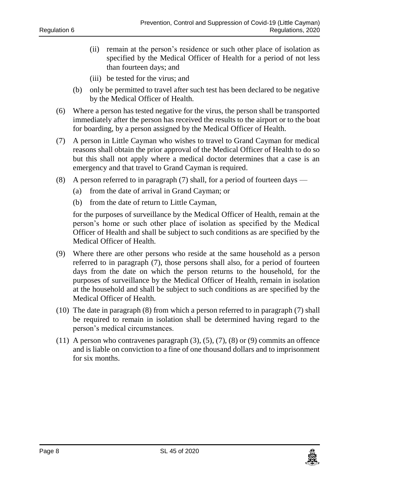- (ii) remain at the person's residence or such other place of isolation as specified by the Medical Officer of Health for a period of not less than fourteen days; and
- (iii) be tested for the virus; and
- (b) only be permitted to travel after such test has been declared to be negative by the Medical Officer of Health.
- (6) Where a person has tested negative for the virus, the person shall be transported immediately after the person has received the results to the airport or to the boat for boarding, by a person assigned by the Medical Officer of Health.
- (7) A person in Little Cayman who wishes to travel to Grand Cayman for medical reasons shall obtain the prior approval of the Medical Officer of Health to do so but this shall not apply where a medical doctor determines that a case is an emergency and that travel to Grand Cayman is required.
- (8) A person referred to in paragraph (7) shall, for a period of fourteen days
	- (a) from the date of arrival in Grand Cayman; or
	- (b) from the date of return to Little Cayman,

for the purposes of surveillance by the Medical Officer of Health, remain at the person's home or such other place of isolation as specified by the Medical Officer of Health and shall be subject to such conditions as are specified by the Medical Officer of Health.

- (9) Where there are other persons who reside at the same household as a person referred to in paragraph (7), those persons shall also, for a period of fourteen days from the date on which the person returns to the household, for the purposes of surveillance by the Medical Officer of Health, remain in isolation at the household and shall be subject to such conditions as are specified by the Medical Officer of Health.
- (10) The date in paragraph (8) from which a person referred to in paragraph (7) shall be required to remain in isolation shall be determined having regard to the person's medical circumstances.
- $(11)$  A person who contravenes paragraph  $(3)$ ,  $(5)$ ,  $(7)$ ,  $(8)$  or  $(9)$  commits an offence and is liable on conviction to a fine of one thousand dollars and to imprisonment for six months.